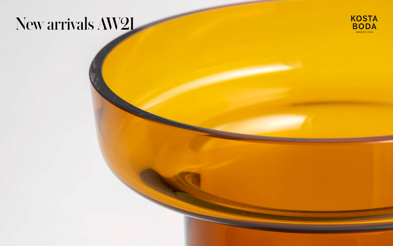# New arrivals AW21

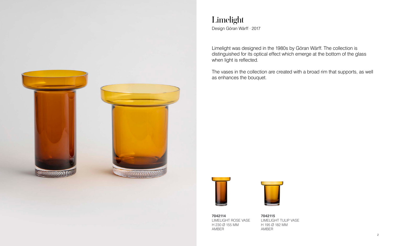LIMELIGHT TULIP VASE

**7042115** H 195 Ø 182 MM AMBER

**7042114** LIMELIGHT ROSE VASE H 230 Ø 155 MM AMBER



### Limelight Design Göran Wärff · 2017

when light is reflected.

#### Limelight was designed in the 1980s by Göran Wärff. The collection is distinguished for its optical effect which emerge at the bottom of the glass

The vases in the collection are created with a broad rim that supports, as well



as enhances the bouquet.



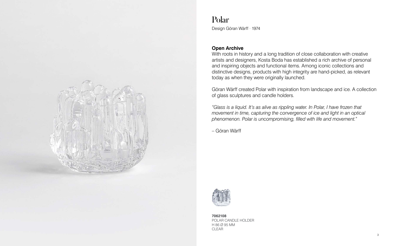**7062108** POLAR CANDLE HOLDER H 86 Ø 95 MM CLEAR

## Polar

Design Göran Wärff · 1974

#### **Open Archive**

With roots in history and a long tradition of close collaboration with creative artists and designers, Kosta Boda has established a rich archive of personal and inspiring objects and functional items. Among iconic collections and distinctive designs, products with high integrity are hand-picked, as relevant today as when they were originally launched.

"Glass is a liquid. It's as alive as rippling water. In Polar, I have frozen that *movement in time, capturing the convergence of ice and light in an optical phenomenon. Polar is uncompromising, filled with life and movement."*

Göran Wärff created Polar with inspiration from landscape and ice. A collection of glass sculptures and candle holders.

– Göran Wärff

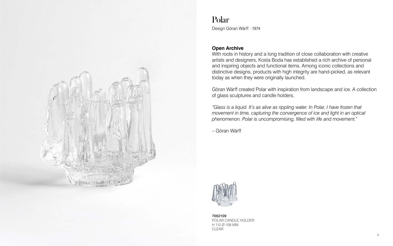#### **7062109** POLAR CANDLE HOLDER H 112 Ø 108 MM CLEAR

## Polar

Design Göran Wärff · 1974

#### **Open Archive**

With roots in history and a long tradition of close collaboration with creative artists and designers, Kosta Boda has established a rich archive of personal and inspiring objects and functional items. Among iconic collections and distinctive designs, products with high integrity are hand-picked, as relevant today as when they were originally launched.

"Glass is a liquid. It's as alive as rippling water. In Polar, I have frozen that *movement in time, capturing the convergence of ice and light in an optical phenomenon. Polar is uncompromising, filled with life and movement."*

Göran Wärff created Polar with inspiration from landscape and ice. A collection of glass sculptures and candle holders.

– Göran Wärff

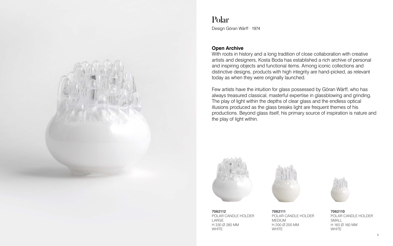

### Polar

Design Göran Wärff · 1974

#### **Open Archive**

With roots in history and a long tradition of close collaboration with creative artists and designers, Kosta Boda has established a rich archive of personal and inspiring objects and functional items. Among iconic collections and distinctive designs, products with high integrity are hand-picked, as relevant today as when they were originally launched.

Few artists have the intuition for glass possessed by Göran Wärff, who has always treasured classical, masterful expertise in glassblowing and grinding. The play of light within the depths of clear glass and the endless optical illusions produced as the glass breaks light are frequent themes of his productions. Beyond glass itself, his primary source of inspiration is nature and the play of light within.





**7062112** POLAR CANDLE HOLDER LARGE H 330 Ø 280 MM WHITE

**7062111** POLAR CANDLE HOLDER MEDIUM H 200 Ø 200 MM WHITE



**7062110** POLAR CANDLE HOLDER SMALL H 160 Ø 160 MM WHITE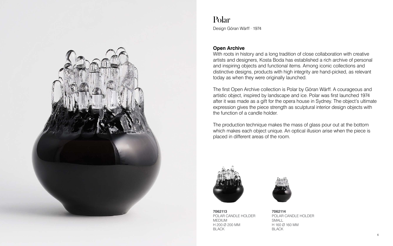#### **Open Archive**

With roots in history and a long tradition of close collaboration with creative artists and designers, Kosta Boda has established a rich archive of personal and inspiring objects and functional items. Among iconic collections and distinctive designs, products with high integrity are hand-picked, as relevant today as when they were originally launched.

The first Open Archive collection is Polar by Göran Wärff. A courageous and artistic object, inspired by landscape and ice. Polar was first launched 1974 after it was made as a gift for the opera house in Sydney. The object's ultimate expression gives the piece strength as sculptural interior design objects with the function of a candle holder.

The production technique makes the mass of glass pour out at the bottom which makes each object unique. An optical illusion arise when the piece is placed in different areas of the room.







### Polar

Design Göran Wärff · 1974

**7062113** POLAR CANDLE HOLDER MEDIUM H 200 Ø 200 MM BLACK





**7062114** POLAR CANDLE HOLDER SMALL H 160 Ø 160 MM BLACK